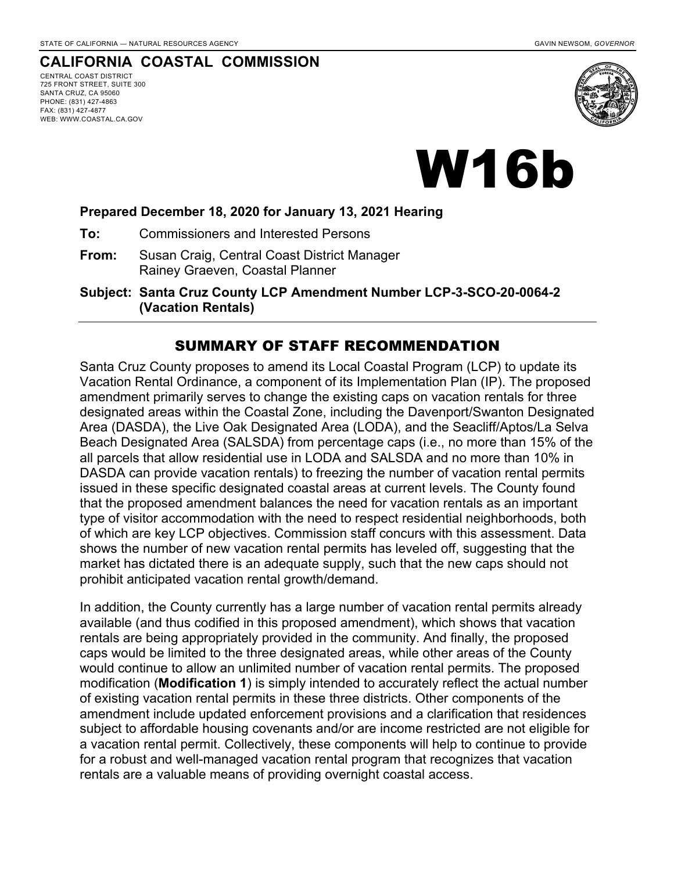## **CALIFORNIA COASTAL COMMISSION**

CENTRAL COAST DISTRICT 725 FRONT STREET, SUITE 300 SANTA CRUZ, CA 95060 PHONE: (831) 427-4863 FAX: (831) 427-4877 WEB: WWW.COASTAL.CA.GOV



# W16b

#### **Prepared December 18, 2020 for January 13, 2021 Hearing**

**To:** Commissioners and Interested Persons

- **From:** Susan Craig, Central Coast District Manager Rainey Graeven, Coastal Planner
- **Subject: Santa Cruz County LCP Amendment Number LCP-3-SCO-20-0064-2 (Vacation Rentals)**

#### SUMMARY OF STAFF RECOMMENDATION

Santa Cruz County proposes to amend its Local Coastal Program (LCP) to update its Vacation Rental Ordinance, a component of its Implementation Plan (IP). The proposed amendment primarily serves to change the existing caps on vacation rentals for three designated areas within the Coastal Zone, including the Davenport/Swanton Designated Area (DASDA), the Live Oak Designated Area (LODA), and the Seacliff/Aptos/La Selva Beach Designated Area (SALSDA) from percentage caps (i.e., no more than 15% of the all parcels that allow residential use in LODA and SALSDA and no more than 10% in DASDA can provide vacation rentals) to freezing the number of vacation rental permits issued in these specific designated coastal areas at current levels. The County found that the proposed amendment balances the need for vacation rentals as an important type of visitor accommodation with the need to respect residential neighborhoods, both of which are key LCP objectives. Commission staff concurs with this assessment. Data shows the number of new vacation rental permits has leveled off, suggesting that the market has dictated there is an adequate supply, such that the new caps should not prohibit anticipated vacation rental growth/demand.

In addition, the County currently has a large number of vacation rental permits already available (and thus codified in this proposed amendment), which shows that vacation rentals are being appropriately provided in the community. And finally, the proposed caps would be limited to the three designated areas, while other areas of the County would continue to allow an unlimited number of vacation rental permits. The proposed modification (**Modification 1**) is simply intended to accurately reflect the actual number of existing vacation rental permits in these three districts. Other components of the amendment include updated enforcement provisions and a clarification that residences subject to affordable housing covenants and/or are income restricted are not eligible for a vacation rental permit. Collectively, these components will help to continue to provide for a robust and well-managed vacation rental program that recognizes that vacation rentals are a valuable means of providing overnight coastal access.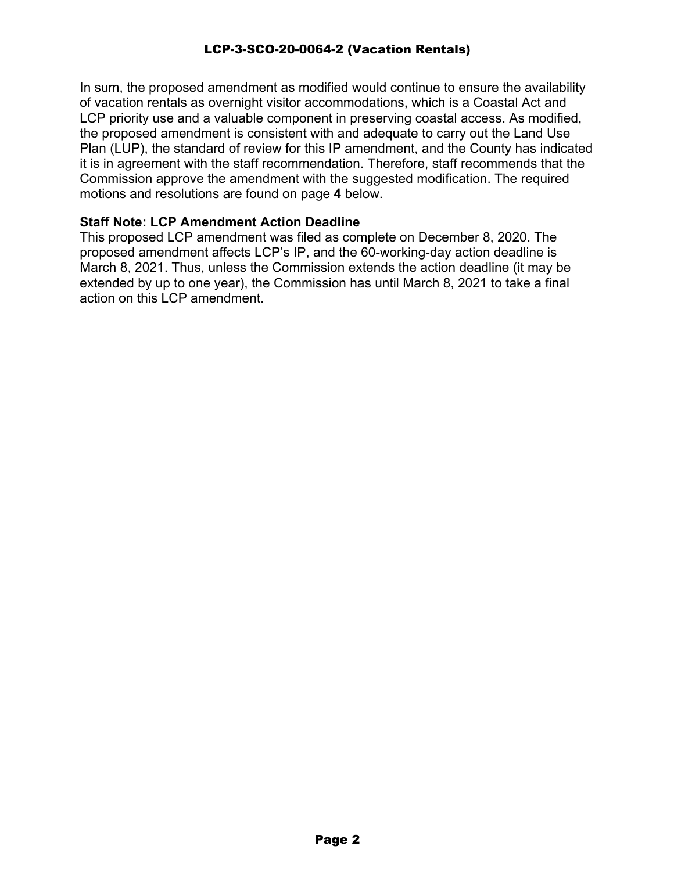In sum, the proposed amendment as modified would continue to ensure the availability of vacation rentals as overnight visitor accommodations, which is a Coastal Act and LCP priority use and a valuable component in preserving coastal access. As modified, the proposed amendment is consistent with and adequate to carry out the Land Use Plan (LUP), the standard of review for this IP amendment, and the County has indicated it is in agreement with the staff recommendation. Therefore, staff recommends that the Commission approve the amendment with the suggested modification. The required motions and resolutions are found on page **4** below.

#### **Staff Note: LCP Amendment Action Deadline**

This proposed LCP amendment was filed as complete on December 8, 2020. The proposed amendment affects LCP's IP, and the 60-working-day action deadline is March 8, 2021. Thus, unless the Commission extends the action deadline (it may be extended by up to one year), the Commission has until March 8, 2021 to take a final action on this LCP amendment.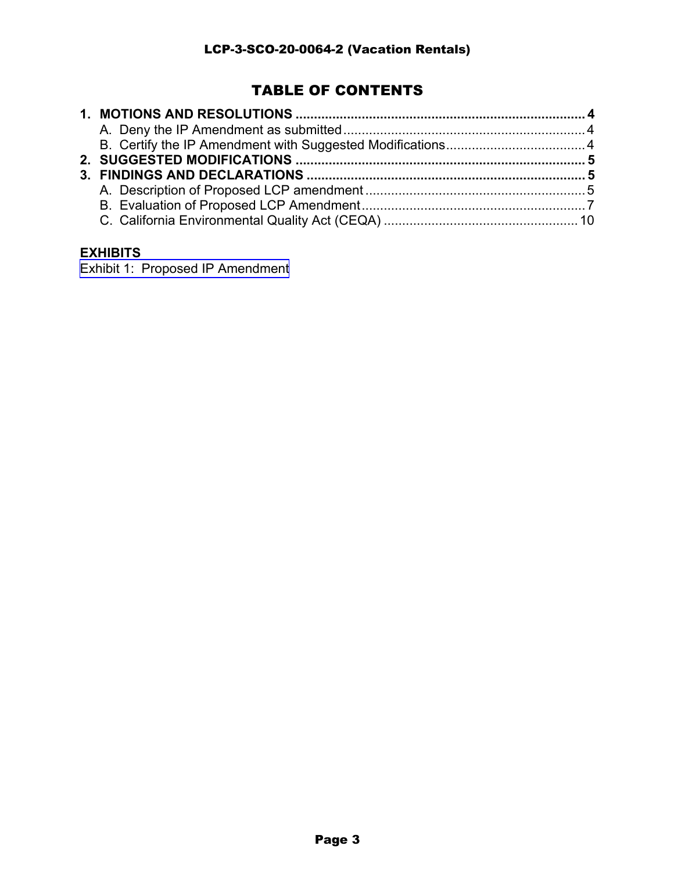## TABLE OF CONTENTS

## **EXHIBITS**

[Exhibit 1: Proposed IP Amendment](https://documents.coastal.ca.gov/reports/2021/1/w16b/w16b-1-2021-report.pdf)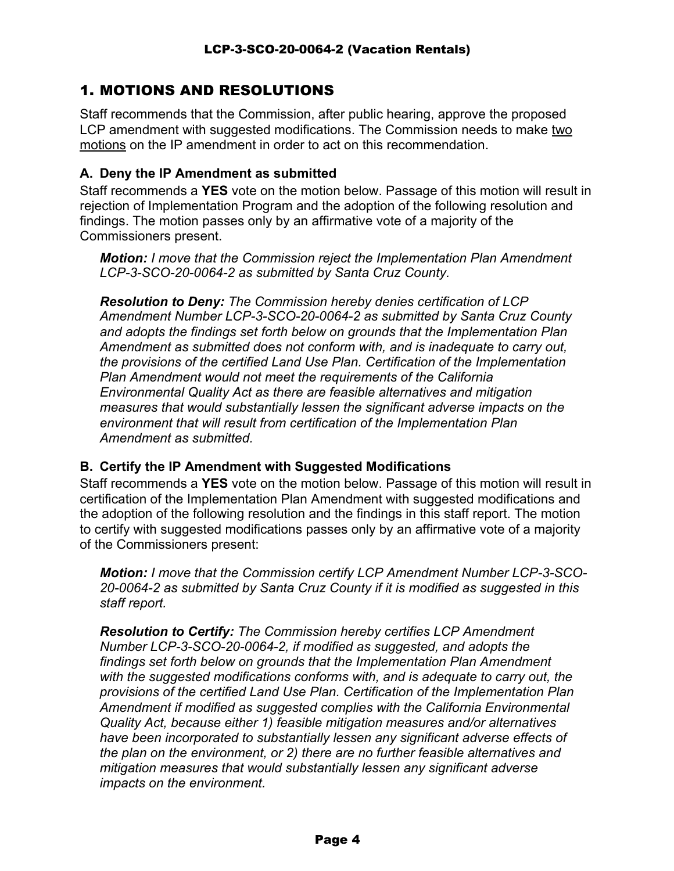## 1. MOTIONS AND RESOLUTIONS

Staff recommends that the Commission, after public hearing, approve the proposed LCP amendment with suggested modifications. The Commission needs to make two motions on the IP amendment in order to act on this recommendation.

## **A. Deny the IP Amendment as submitted**

Staff recommends a **YES** vote on the motion below. Passage of this motion will result in rejection of Implementation Program and the adoption of the following resolution and findings. The motion passes only by an affirmative vote of a majority of the Commissioners present.

*Motion: I move that the Commission reject the Implementation Plan Amendment LCP-3-SCO-20-0064-2 as submitted by Santa Cruz County.*

*Resolution to Deny: The Commission hereby denies certification of LCP Amendment Number LCP-3-SCO-20-0064-2 as submitted by Santa Cruz County and adopts the findings set forth below on grounds that the Implementation Plan Amendment as submitted does not conform with, and is inadequate to carry out, the provisions of the certified Land Use Plan. Certification of the Implementation Plan Amendment would not meet the requirements of the California Environmental Quality Act as there are feasible alternatives and mitigation measures that would substantially lessen the significant adverse impacts on the environment that will result from certification of the Implementation Plan Amendment as submitted.*

## **B. Certify the IP Amendment with Suggested Modifications**

Staff recommends a **YES** vote on the motion below. Passage of this motion will result in certification of the Implementation Plan Amendment with suggested modifications and the adoption of the following resolution and the findings in this staff report. The motion to certify with suggested modifications passes only by an affirmative vote of a majority of the Commissioners present:

*Motion: I move that the Commission certify LCP Amendment Number LCP-3-SCO-20-0064-2 as submitted by Santa Cruz County if it is modified as suggested in this staff report.*

*Resolution to Certify: The Commission hereby certifies LCP Amendment Number LCP-3-SCO-20-0064-2, if modified as suggested, and adopts the findings set forth below on grounds that the Implementation Plan Amendment with the suggested modifications conforms with, and is adequate to carry out, the provisions of the certified Land Use Plan. Certification of the Implementation Plan Amendment if modified as suggested complies with the California Environmental Quality Act, because either 1) feasible mitigation measures and/or alternatives have been incorporated to substantially lessen any significant adverse effects of the plan on the environment, or 2) there are no further feasible alternatives and mitigation measures that would substantially lessen any significant adverse impacts on the environment.*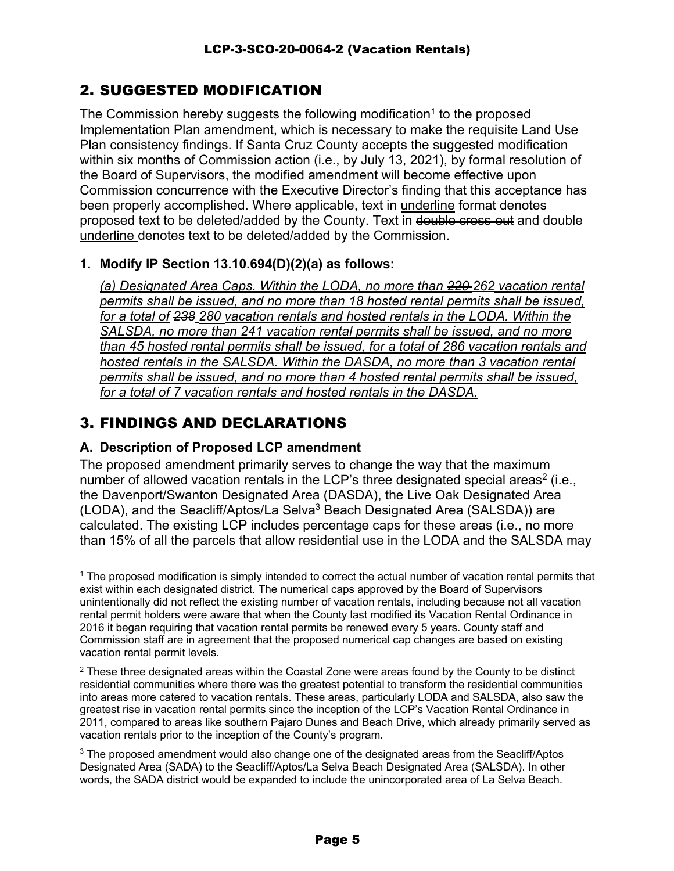## 2. SUGGESTED MODIFICATION

The Commission hereby suggests the following modification<sup>1</sup> to the proposed Implementation Plan amendment, which is necessary to make the requisite Land Use Plan consistency findings. If Santa Cruz County accepts the suggested modification within six months of Commission action (i.e., by July 13, 2021), by formal resolution of the Board of Supervisors, the modified amendment will become effective upon Commission concurrence with the Executive Director's finding that this acceptance has been properly accomplished. Where applicable, text in underline format denotes proposed text to be deleted/added by the County. Text in double cross-out and double underline denotes text to be deleted/added by the Commission.

## **1. Modify IP Section 13.10.694(D)(2)(a) as follows:**

*(a) Designated Area Caps. Within the LODA, no more than 220 262 vacation rental permits shall be issued, and no more than 18 hosted rental permits shall be issued, for a total of 238 280 vacation rentals and hosted rentals in the LODA. Within the SALSDA, no more than 241 vacation rental permits shall be issued, and no more than 45 hosted rental permits shall be issued, for a total of 286 vacation rentals and hosted rentals in the SALSDA. Within the DASDA, no more than 3 vacation rental permits shall be issued, and no more than 4 hosted rental permits shall be issued, for a total of 7 vacation rentals and hosted rentals in the DASDA.*

## 3. FINDINGS AND DECLARATIONS

## **A. Description of Proposed LCP amendment**

The proposed amendment primarily serves to change the way that the maximum number of allowed vacation rentals in the LCP's three designated special areas<sup>2</sup> (i.e., the Davenport/Swanton Designated Area (DASDA), the Live Oak Designated Area (LODA), and the Seacliff/Aptos/La Selva<sup>3</sup> Beach Designated Area (SALSDA)) are calculated. The existing LCP includes percentage caps for these areas (i.e., no more than 15% of all the parcels that allow residential use in the LODA and the SALSDA may

<sup>&</sup>lt;sup>1</sup> The proposed modification is simply intended to correct the actual number of vacation rental permits that exist within each designated district. The numerical caps approved by the Board of Supervisors unintentionally did not reflect the existing number of vacation rentals, including because not all vacation rental permit holders were aware that when the County last modified its Vacation Rental Ordinance in 2016 it began requiring that vacation rental permits be renewed every 5 years. County staff and Commission staff are in agreement that the proposed numerical cap changes are based on existing vacation rental permit levels.

 $2$  These three designated areas within the Coastal Zone were areas found by the County to be distinct residential communities where there was the greatest potential to transform the residential communities into areas more catered to vacation rentals. These areas, particularly LODA and SALSDA, also saw the greatest rise in vacation rental permits since the inception of the LCP's Vacation Rental Ordinance in 2011, compared to areas like southern Pajaro Dunes and Beach Drive, which already primarily served as vacation rentals prior to the inception of the County's program.

<sup>&</sup>lt;sup>3</sup> The proposed amendment would also change one of the designated areas from the Seacliff/Aptos Designated Area (SADA) to the Seacliff/Aptos/La Selva Beach Designated Area (SALSDA). In other words, the SADA district would be expanded to include the unincorporated area of La Selva Beach.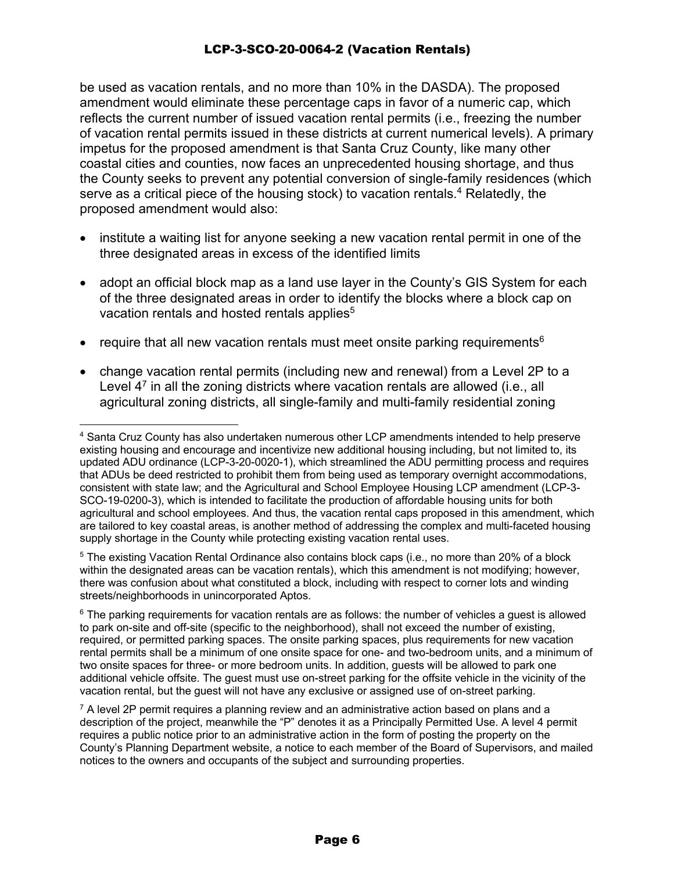be used as vacation rentals, and no more than 10% in the DASDA). The proposed amendment would eliminate these percentage caps in favor of a numeric cap, which reflects the current number of issued vacation rental permits (i.e., freezing the number of vacation rental permits issued in these districts at current numerical levels). A primary impetus for the proposed amendment is that Santa Cruz County, like many other coastal cities and counties, now faces an unprecedented housing shortage, and thus the County seeks to prevent any potential conversion of single-family residences (which serve as a critical piece of the housing stock) to vacation rentals.<sup>4</sup> Relatedly, the proposed amendment would also:

- institute a waiting list for anyone seeking a new vacation rental permit in one of the three designated areas in excess of the identified limits
- adopt an official block map as a land use layer in the County's GIS System for each of the three designated areas in order to identify the blocks where a block cap on vacation rentals and hosted rentals applies<sup>5</sup>
- require that all new vacation rentals must meet onsite parking requirements<sup>6</sup>
- change vacation rental permits (including new and renewal) from a Level 2P to a Level  $4^7$  in all the zoning districts where vacation rentals are allowed (i.e., all agricultural zoning districts, all single-family and multi-family residential zoning

<sup>5</sup> The existing Vacation Rental Ordinance also contains block caps (i.e., no more than 20% of a block within the designated areas can be vacation rentals), which this amendment is not modifying; however, there was confusion about what constituted a block, including with respect to corner lots and winding streets/neighborhoods in unincorporated Aptos.

 $6$  The parking requirements for vacation rentals are as follows: the number of vehicles a quest is allowed to park on-site and off-site (specific to the neighborhood), shall not exceed the number of existing, required, or permitted parking spaces. The onsite parking spaces, plus requirements for new vacation rental permits shall be a minimum of one onsite space for one- and two-bedroom units, and a minimum of two onsite spaces for three- or more bedroom units. In addition, guests will be allowed to park one additional vehicle offsite. The guest must use on-street parking for the offsite vehicle in the vicinity of the vacation rental, but the guest will not have any exclusive or assigned use of on-street parking.

 $7$  A level 2P permit requires a planning review and an administrative action based on plans and a description of the project, meanwhile the "P" denotes it as a Principally Permitted Use. A level 4 permit requires a public notice prior to an administrative action in the form of posting the property on the County's Planning Department website, a notice to each member of the Board of Supervisors, and mailed notices to the owners and occupants of the subject and surrounding properties.

<sup>4</sup> Santa Cruz County has also undertaken numerous other LCP amendments intended to help preserve existing housing and encourage and incentivize new additional housing including, but not limited to, its updated ADU ordinance (LCP-3-20-0020-1), which streamlined the ADU permitting process and requires that ADUs be deed restricted to prohibit them from being used as temporary overnight accommodations, consistent with state law; and the Agricultural and School Employee Housing LCP amendment (LCP-3- SCO-19-0200-3), which is intended to facilitate the production of affordable housing units for both agricultural and school employees. And thus, the vacation rental caps proposed in this amendment, which are tailored to key coastal areas, is another method of addressing the complex and multi-faceted housing supply shortage in the County while protecting existing vacation rental uses.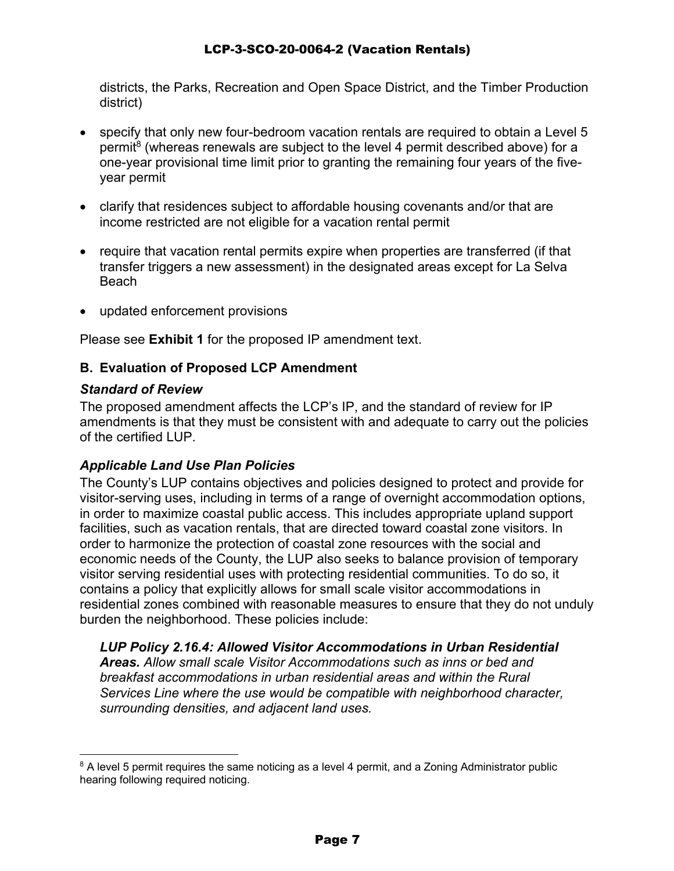districts, the Parks, Recreation and Open Space District, and the Timber Production district)

- specify that only new four-bedroom vacation rentals are required to obtain a Level 5 permit<sup>8</sup> (whereas renewals are subject to the level 4 permit described above) for a one-year provisional time limit prior to granting the remaining four years of the fiveyear permit
- clarify that residences subject to affordable housing covenants and/or that are income restricted are not eligible for a vacation rental permit
- require that vacation rental permits expire when properties are transferred (if that transfer triggers a new assessment) in the designated areas except for La Selva Beach
- updated enforcement provisions

Please see **Exhibit 1** for the proposed IP amendment text.

## **B. Evaluation of Proposed LCP Amendment**

## *Standard of Review*

The proposed amendment affects the LCP's IP, and the standard of review for IP amendments is that they must be consistent with and adequate to carry out the policies of the certified LUP.

## *Applicable Land Use Plan Policies*

The County's LUP contains objectives and policies designed to protect and provide for visitor-serving uses, including in terms of a range of overnight accommodation options, in order to maximize coastal public access. This includes appropriate upland support facilities, such as vacation rentals, that are directed toward coastal zone visitors. In order to harmonize the protection of coastal zone resources with the social and economic needs of the County, the LUP also seeks to balance provision of temporary visitor serving residential uses with protecting residential communities. To do so, it contains a policy that explicitly allows for small scale visitor accommodations in residential zones combined with reasonable measures to ensure that they do not unduly burden the neighborhood. These policies include:

*LUP Policy 2.16.4: Allowed Visitor Accommodations in Urban Residential Areas. Allow small scale Visitor Accommodations such as inns or bed and breakfast accommodations in urban residential areas and within the Rural Services Line where the use would be compatible with neighborhood character, surrounding densities, and adjacent land uses.* 

 $8$  A level 5 permit requires the same noticing as a level 4 permit, and a Zoning Administrator public hearing following required noticing.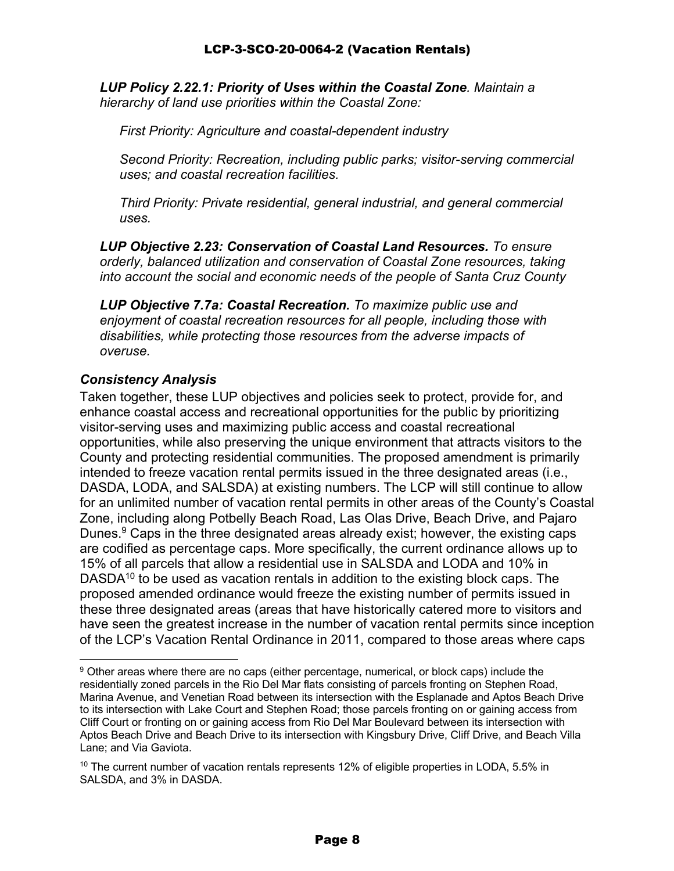*LUP Policy 2.22.1: Priority of Uses within the Coastal Zone. Maintain a hierarchy of land use priorities within the Coastal Zone:* 

*First Priority: Agriculture and coastal-dependent industry* 

*Second Priority: Recreation, including public parks; visitor-serving commercial uses; and coastal recreation facilities.* 

*Third Priority: Private residential, general industrial, and general commercial uses.* 

*LUP Objective 2.23: Conservation of Coastal Land Resources. To ensure orderly, balanced utilization and conservation of Coastal Zone resources, taking into account the social and economic needs of the people of Santa Cruz County*

*LUP Objective 7.7a: Coastal Recreation. To maximize public use and enjoyment of coastal recreation resources for all people, including those with disabilities, while protecting those resources from the adverse impacts of overuse.* 

## *Consistency Analysis*

Taken together, these LUP objectives and policies seek to protect, provide for, and enhance coastal access and recreational opportunities for the public by prioritizing visitor-serving uses and maximizing public access and coastal recreational opportunities, while also preserving the unique environment that attracts visitors to the County and protecting residential communities. The proposed amendment is primarily intended to freeze vacation rental permits issued in the three designated areas (i.e., DASDA, LODA, and SALSDA) at existing numbers. The LCP will still continue to allow for an unlimited number of vacation rental permits in other areas of the County's Coastal Zone, including along Potbelly Beach Road, Las Olas Drive, Beach Drive, and Pajaro Dunes. <sup>9</sup> Caps in the three designated areas already exist; however, the existing caps are codified as percentage caps. More specifically, the current ordinance allows up to 15% of all parcels that allow a residential use in SALSDA and LODA and 10% in DASDA<sup>10</sup> to be used as vacation rentals in addition to the existing block caps. The proposed amended ordinance would freeze the existing number of permits issued in these three designated areas (areas that have historically catered more to visitors and have seen the greatest increase in the number of vacation rental permits since inception of the LCP's Vacation Rental Ordinance in 2011, compared to those areas where caps

<sup>&</sup>lt;sup>9</sup> Other areas where there are no caps (either percentage, numerical, or block caps) include the residentially zoned parcels in the Rio Del Mar flats consisting of parcels fronting on Stephen Road, Marina Avenue, and Venetian Road between its intersection with the Esplanade and Aptos Beach Drive to its intersection with Lake Court and Stephen Road; those parcels fronting on or gaining access from Cliff Court or fronting on or gaining access from Rio Del Mar Boulevard between its intersection with Aptos Beach Drive and Beach Drive to its intersection with Kingsbury Drive, Cliff Drive, and Beach Villa Lane; and Via Gaviota.

 $10$  The current number of vacation rentals represents 12% of eligible properties in LODA, 5.5% in SALSDA, and 3% in DASDA.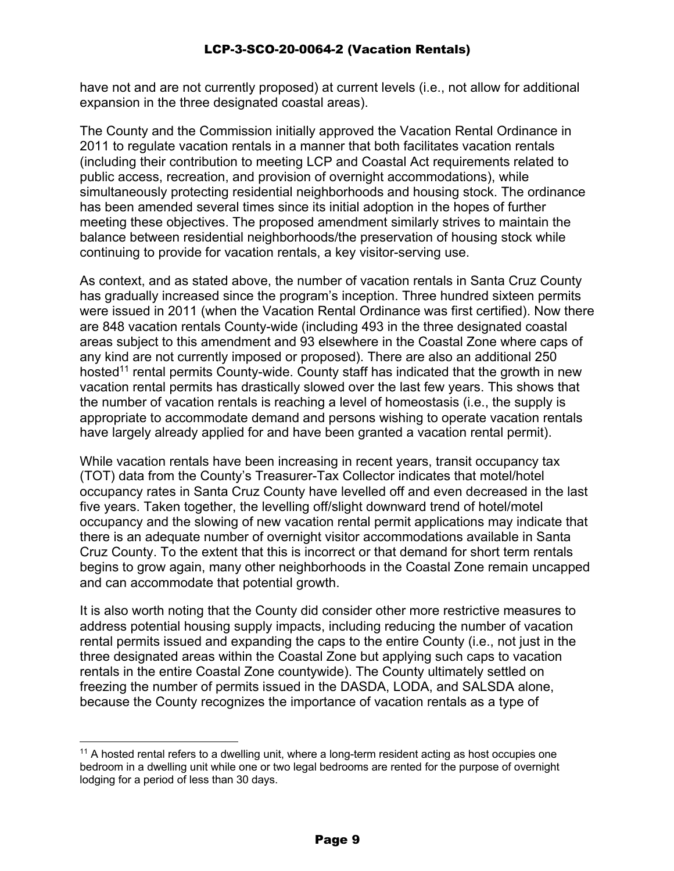have not and are not currently proposed) at current levels (i.e., not allow for additional expansion in the three designated coastal areas).

The County and the Commission initially approved the Vacation Rental Ordinance in 2011 to regulate vacation rentals in a manner that both facilitates vacation rentals (including their contribution to meeting LCP and Coastal Act requirements related to public access, recreation, and provision of overnight accommodations), while simultaneously protecting residential neighborhoods and housing stock. The ordinance has been amended several times since its initial adoption in the hopes of further meeting these objectives. The proposed amendment similarly strives to maintain the balance between residential neighborhoods/the preservation of housing stock while continuing to provide for vacation rentals, a key visitor-serving use.

As context, and as stated above, the number of vacation rentals in Santa Cruz County has gradually increased since the program's inception. Three hundred sixteen permits were issued in 2011 (when the Vacation Rental Ordinance was first certified). Now there are 848 vacation rentals County-wide (including 493 in the three designated coastal areas subject to this amendment and 93 elsewhere in the Coastal Zone where caps of any kind are not currently imposed or proposed). There are also an additional 250 hosted<sup>11</sup> rental permits County-wide. County staff has indicated that the growth in new vacation rental permits has drastically slowed over the last few years. This shows that the number of vacation rentals is reaching a level of homeostasis (i.e., the supply is appropriate to accommodate demand and persons wishing to operate vacation rentals have largely already applied for and have been granted a vacation rental permit).

While vacation rentals have been increasing in recent years, transit occupancy tax (TOT) data from the County's Treasurer-Tax Collector indicates that motel/hotel occupancy rates in Santa Cruz County have levelled off and even decreased in the last five years. Taken together, the levelling off/slight downward trend of hotel/motel occupancy and the slowing of new vacation rental permit applications may indicate that there is an adequate number of overnight visitor accommodations available in Santa Cruz County. To the extent that this is incorrect or that demand for short term rentals begins to grow again, many other neighborhoods in the Coastal Zone remain uncapped and can accommodate that potential growth.

It is also worth noting that the County did consider other more restrictive measures to address potential housing supply impacts, including reducing the number of vacation rental permits issued and expanding the caps to the entire County (i.e., not just in the three designated areas within the Coastal Zone but applying such caps to vacation rentals in the entire Coastal Zone countywide). The County ultimately settled on freezing the number of permits issued in the DASDA, LODA, and SALSDA alone, because the County recognizes the importance of vacation rentals as a type of

<sup>&</sup>lt;sup>11</sup> A hosted rental refers to a dwelling unit, where a long-term resident acting as host occupies one bedroom in a dwelling unit while one or two legal bedrooms are rented for the purpose of overnight lodging for a period of less than 30 days.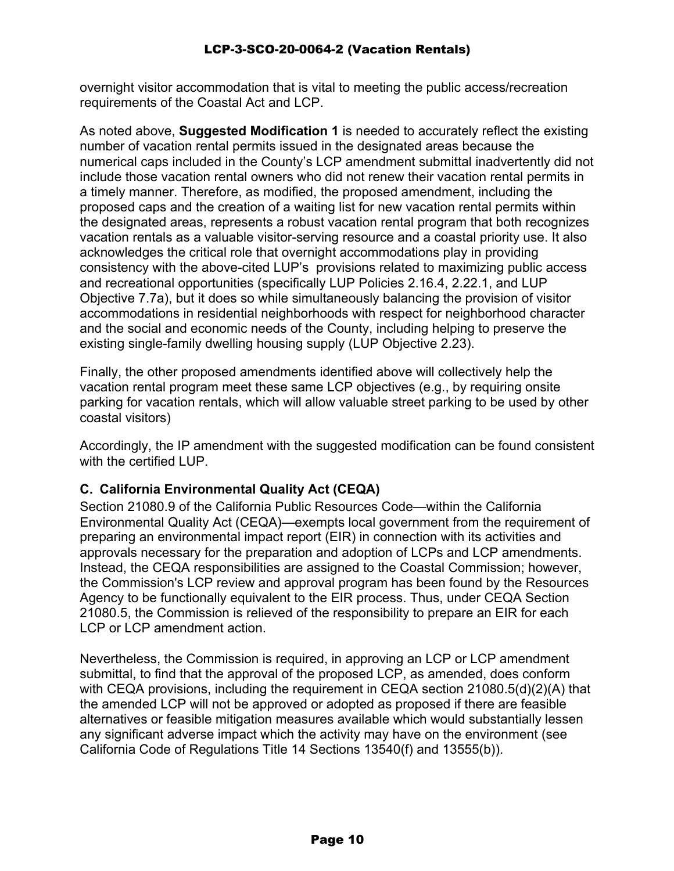overnight visitor accommodation that is vital to meeting the public access/recreation requirements of the Coastal Act and LCP.

As noted above, **Suggested Modification 1** is needed to accurately reflect the existing number of vacation rental permits issued in the designated areas because the numerical caps included in the County's LCP amendment submittal inadvertently did not include those vacation rental owners who did not renew their vacation rental permits in a timely manner. Therefore, as modified, the proposed amendment, including the proposed caps and the creation of a waiting list for new vacation rental permits within the designated areas, represents a robust vacation rental program that both recognizes vacation rentals as a valuable visitor-serving resource and a coastal priority use. It also acknowledges the critical role that overnight accommodations play in providing consistency with the above-cited LUP's provisions related to maximizing public access and recreational opportunities (specifically LUP Policies 2.16.4, 2.22.1, and LUP Objective 7.7a), but it does so while simultaneously balancing the provision of visitor accommodations in residential neighborhoods with respect for neighborhood character and the social and economic needs of the County, including helping to preserve the existing single-family dwelling housing supply (LUP Objective 2.23).

Finally, the other proposed amendments identified above will collectively help the vacation rental program meet these same LCP objectives (e.g., by requiring onsite parking for vacation rentals, which will allow valuable street parking to be used by other coastal visitors)

Accordingly, the IP amendment with the suggested modification can be found consistent with the certified LUP.

## **C. California Environmental Quality Act (CEQA)**

Section 21080.9 of the California Public Resources Code—within the California Environmental Quality Act (CEQA)—exempts local government from the requirement of preparing an environmental impact report (EIR) in connection with its activities and approvals necessary for the preparation and adoption of LCPs and LCP amendments. Instead, the CEQA responsibilities are assigned to the Coastal Commission; however, the Commission's LCP review and approval program has been found by the Resources Agency to be functionally equivalent to the EIR process. Thus, under CEQA Section 21080.5, the Commission is relieved of the responsibility to prepare an EIR for each LCP or LCP amendment action.

Nevertheless, the Commission is required, in approving an LCP or LCP amendment submittal, to find that the approval of the proposed LCP, as amended, does conform with CEQA provisions, including the requirement in CEQA section 21080.5(d)(2)(A) that the amended LCP will not be approved or adopted as proposed if there are feasible alternatives or feasible mitigation measures available which would substantially lessen any significant adverse impact which the activity may have on the environment (see California Code of Regulations Title 14 Sections 13540(f) and 13555(b)).